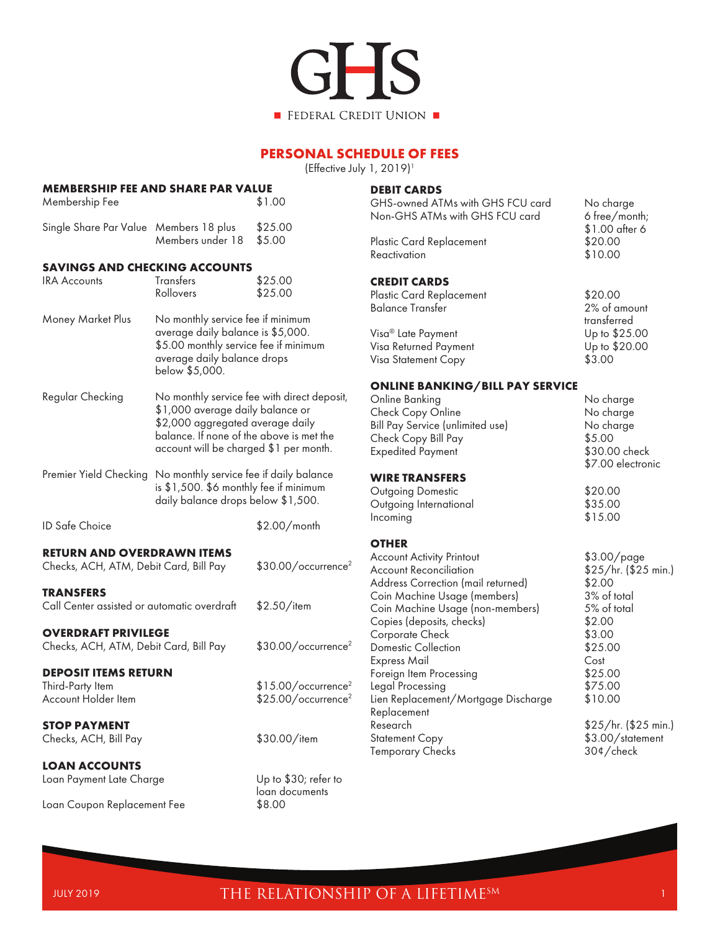

# **PERSONAL SCHEDULE OF FEES**

(Effective July 1, 2019)<sup>1</sup>

| <b>MEMBERSHIP FEE AND SHARE PAR VALUE</b><br>Membership Fee                   |                                                                                                                                                                                                           | \$1.00                                                             | <b>DEE</b><br>GH.                         |
|-------------------------------------------------------------------------------|-----------------------------------------------------------------------------------------------------------------------------------------------------------------------------------------------------------|--------------------------------------------------------------------|-------------------------------------------|
| Single Share Par Value Members 18 plus                                        | Members under 18                                                                                                                                                                                          | \$25.00<br>\$5.00                                                  | Nor<br>Plas                               |
| <b>SAVINGS AND CHECKING ACCOUNTS</b>                                          |                                                                                                                                                                                                           |                                                                    | Rea                                       |
| <b>IRA Accounts</b>                                                           | Transfers<br>Rollovers                                                                                                                                                                                    | \$25.00<br>\$25.00                                                 | <b>CRE</b><br>Plas                        |
| Money Market Plus                                                             | No monthly service fee if minimum<br>average daily balance is \$5,000.<br>\$5.00 monthly service fee if minimum<br>average daily balance drops<br>below \$5,000.                                          |                                                                    | Balc<br>Visa<br>Visa<br>Visa              |
| Regular Checking                                                              | No monthly service fee with direct deposit,<br>\$1,000 average daily balance or<br>\$2,000 aggregated average daily<br>balance. If none of the above is met the<br>account will be charged \$1 per month. |                                                                    | ON<br>Onli<br>Che<br>Bill I<br>Che<br>Exp |
| Premier Yield Checking                                                        | No monthly service fee if daily balance<br>is \$1,500. \$6 monthly fee if minimum<br>daily balance drops below \$1,500.                                                                                   |                                                                    | WII<br>Out<br>Out                         |
| <b>ID Safe Choice</b>                                                         |                                                                                                                                                                                                           | $$2.00/m$ onth                                                     | Incc                                      |
| <b>RETURN AND OVERDRAWN ITEMS</b><br>Checks, ACH, ATM, Debit Card, Bill Pay   |                                                                                                                                                                                                           | \$30.00/occurrence <sup>2</sup>                                    | OTI<br>Acc<br>Acc                         |
| <b>TRANSFERS</b><br>Call Center assisted or automatic overdraft               |                                                                                                                                                                                                           | $$2.50/$ item                                                      | Add<br>Coir<br>Coir<br>Cop                |
| <b>OVERDRAFT PRIVILEGE</b><br>Checks, ACH, ATM, Debit Card, Bill Pay          |                                                                                                                                                                                                           | \$30.00/occurrence <sup>2</sup>                                    | Cor<br>Don<br>Exp                         |
| <b>DEPOSIT ITEMS RETURN</b><br>Third-Party Item<br><b>Account Holder Item</b> |                                                                                                                                                                                                           | \$15.00/occurrence <sup>2</sup><br>\$25.00/occurrence <sup>2</sup> | Fore<br>Lego<br>Lien                      |
| <b>STOP PAYMENT</b><br>Checks, ACH, Bill Pay                                  |                                                                                                                                                                                                           | \$30.00/item                                                       | Rep<br>Rese<br>Stat<br>Tem                |
| <b>LOAN ACCOUNTS</b><br>Loan Payment Late Charge                              |                                                                                                                                                                                                           | Up to \$30; refer to<br>loan documents                             |                                           |
| Loan Coupon Replacement Fee                                                   |                                                                                                                                                                                                           | \$8.00                                                             |                                           |

### **BIT CARDS**

| GHS-owned ATMs with GHS FCU card<br>Non-GHS ATMs with GHS FCU card | No charge<br>6 free/month;<br>\$1.00 after 6 |
|--------------------------------------------------------------------|----------------------------------------------|
| Plastic Card Replacement<br>Reactivation                           | \$20.00<br>\$10.00                           |
| <b>CREDIT CARDS</b><br>Plastic Card Replacement                    | \$20.00                                      |

| Balance Transfer      | 2% of amount  |
|-----------------------|---------------|
|                       | transferred   |
| Visa® Late Payment    | Up to \$25.00 |
| Visa Returned Payment | Up to \$20.00 |
| Visa Statement Copy   | \$3.00        |
|                       |               |

#### **ONLINE BANKING/BILL PAY SERVICE**

| Online Banking<br>Check Copy Online<br>Bill Pay Service (unlimited use)<br>Check Copy Bill Pay<br><b>Expedited Payment</b>                                                                                                                                                                                                                        | No charge<br>No charge<br>No charge<br>\$5.00<br>\$30.00 check<br>\$7.00 electronic                                                                 |
|---------------------------------------------------------------------------------------------------------------------------------------------------------------------------------------------------------------------------------------------------------------------------------------------------------------------------------------------------|-----------------------------------------------------------------------------------------------------------------------------------------------------|
| WIRE TRANSFERS                                                                                                                                                                                                                                                                                                                                    |                                                                                                                                                     |
| Outgoing Domestic<br>Outgoing International<br>Incoming                                                                                                                                                                                                                                                                                           | \$20.00<br>\$35.00<br>\$15.00                                                                                                                       |
| <b>OTHER</b>                                                                                                                                                                                                                                                                                                                                      |                                                                                                                                                     |
| Account Activity Printout<br>Account Reconciliation<br>Address Correction (mail returned)<br>Coin Machine Usage (members)<br>Coin Machine Usage (non-members)<br>Copies (deposits, checks)<br>Corporate Check<br><b>Domestic Collection</b><br>Express Mail<br>Foreign Item Processing<br>Legal Processing<br>Lien Replacement/Mortgage Discharge | \$3.00/page<br>\$25/hr. (\$25 min.)<br>\$2.00<br>3% of total<br>5% of total<br>\$2.00<br>\$3.00<br>\$25.00<br>Cost<br>\$25.00<br>\$75.00<br>\$10.00 |
| Replacement<br>Research<br><b>Statement Copy</b><br>Temporary Checks                                                                                                                                                                                                                                                                              | \$25/hr. (\$25 min.)<br>\$3.00/statement<br>30¢/check                                                                                               |
|                                                                                                                                                                                                                                                                                                                                                   |                                                                                                                                                     |